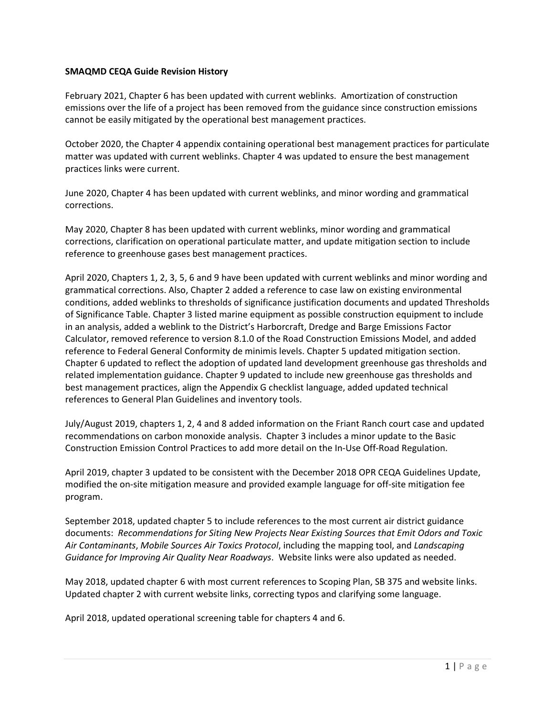## **SMAQMD CEQA Guide Revision History**

February 2021, Chapter 6 has been updated with current weblinks. Amortization of construction emissions over the life of a project has been removed from the guidance since construction emissions cannot be easily mitigated by the operational best management practices.

October 2020, the Chapter 4 appendix containing operational best management practices for particulate matter was updated with current weblinks. Chapter 4 was updated to ensure the best management practices links were current.

June 2020, Chapter 4 has been updated with current weblinks, and minor wording and grammatical corrections.

May 2020, Chapter 8 has been updated with current weblinks, minor wording and grammatical corrections, clarification on operational particulate matter, and update mitigation section to include reference to greenhouse gases best management practices.

April 2020, Chapters 1, 2, 3, 5, 6 and 9 have been updated with current weblinks and minor wording and grammatical corrections. Also, Chapter 2 added a reference to case law on existing environmental conditions, added weblinks to thresholds of significance justification documents and updated Thresholds of Significance Table. Chapter 3 listed marine equipment as possible construction equipment to include in an analysis, added a weblink to the District's Harborcraft, Dredge and Barge Emissions Factor Calculator, removed reference to version 8.1.0 of the Road Construction Emissions Model, and added reference to Federal General Conformity de minimis levels. Chapter 5 updated mitigation section. Chapter 6 updated to reflect the adoption of updated land development greenhouse gas thresholds and related implementation guidance. Chapter 9 updated to include new greenhouse gas thresholds and best management practices, align the Appendix G checklist language, added updated technical references to General Plan Guidelines and inventory tools.

July/August 2019, chapters 1, 2, 4 and 8 added information on the Friant Ranch court case and updated recommendations on carbon monoxide analysis. Chapter 3 includes a minor update to the Basic Construction Emission Control Practices to add more detail on the In-Use Off-Road Regulation.

April 2019, chapter 3 updated to be consistent with the December 2018 OPR CEQA Guidelines Update, modified the on-site mitigation measure and provided example language for off-site mitigation fee program.

September 2018, updated chapter 5 to include references to the most current air district guidance documents: *Recommendations for Siting New Projects Near Existing Sources that Emit Odors and Toxic Air Contaminants*, *Mobile Sources Air Toxics Protocol*, including the mapping tool, and *Landscaping Guidance for Improving Air Quality Near Roadways*. Website links were also updated as needed.

May 2018, updated chapter 6 with most current references to Scoping Plan, SB 375 and website links. Updated chapter 2 with current website links, correcting typos and clarifying some language.

April 2018, updated operational screening table for chapters 4 and 6.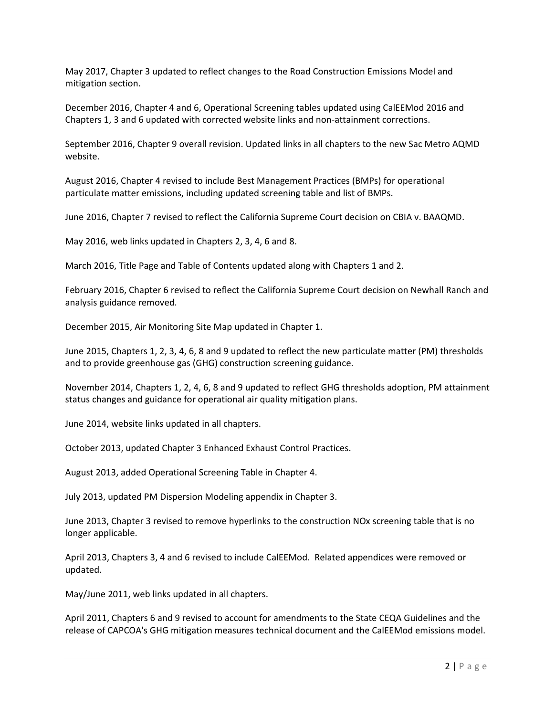May 2017, Chapter 3 updated to reflect changes to the Road Construction Emissions Model and mitigation section.

December 2016, Chapter 4 and 6, Operational Screening tables updated using CalEEMod 2016 and Chapters 1, 3 and 6 updated with corrected website links and non-attainment corrections.

September 2016, Chapter 9 overall revision. Updated links in all chapters to the new Sac Metro AQMD website.

August 2016, Chapter 4 revised to include Best Management Practices (BMPs) for operational particulate matter emissions, including updated screening table and list of BMPs.

June 2016, Chapter 7 revised to reflect the California Supreme Court decision on CBIA v. BAAQMD.

May 2016, web links updated in Chapters 2, 3, 4, 6 and 8.

March 2016, Title Page and Table of Contents updated along with Chapters 1 and 2.

February 2016, Chapter 6 revised to reflect the California Supreme Court decision on Newhall Ranch and analysis guidance removed.

December 2015, Air Monitoring Site Map updated in Chapter 1.

June 2015, Chapters 1, 2, 3, 4, 6, 8 and 9 updated to reflect the new particulate matter (PM) thresholds and to provide greenhouse gas (GHG) construction screening guidance.

November 2014, Chapters 1, 2, 4, 6, 8 and 9 updated to reflect GHG thresholds adoption, PM attainment status changes and guidance for operational air quality mitigation plans.

June 2014, website links updated in all chapters.

October 2013, updated Chapter 3 Enhanced Exhaust Control Practices.

August 2013, added Operational Screening Table in Chapter 4.

July 2013, updated PM Dispersion Modeling appendix in Chapter 3.

June 2013, Chapter 3 revised to remove hyperlinks to the construction NOx screening table that is no longer applicable.

April 2013, Chapters 3, 4 and 6 revised to include CalEEMod. Related appendices were removed or updated.

May/June 2011, web links updated in all chapters.

April 2011, Chapters 6 and 9 revised to account for amendments to the State CEQA Guidelines and the release of CAPCOA's GHG mitigation measures technical document and the CalEEMod emissions model.